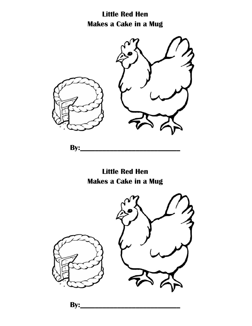**Little Red Hen Makes a Cake in a Mug**



**By:\_** 

**Little Red Hen Makes a Cake in a Mug**



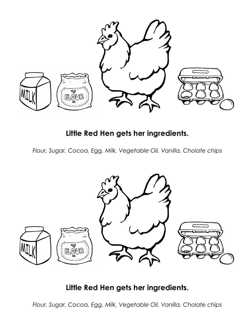

## **Little Red Hen gets her ingredients.**

*Flour, Sugar, Cocoa, Egg, Milk, Vegetable Oil, Vanilla, Cholate chips*



## **Little Red Hen gets her ingredients.**

*Flour, Sugar, Cocoa, Egg, Milk, Vegetable Oil, Vanilla, Cholate chips*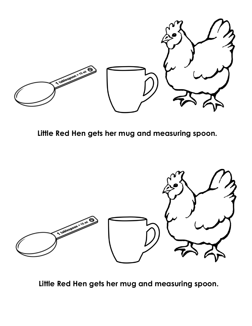

**Little Red Hen gets her mug and measuring spoon.**



**Little Red Hen gets her mug and measuring spoon.**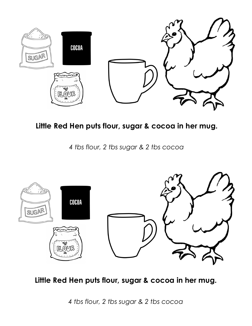

**Little Red Hen puts flour, sugar & cocoa in her mug.**

*4 tbs flour, 2 tbs sugar & 2 tbs cocoa*



**Little Red Hen puts flour, sugar & cocoa in her mug.**

*4 tbs flour, 2 tbs sugar & 2 tbs cocoa*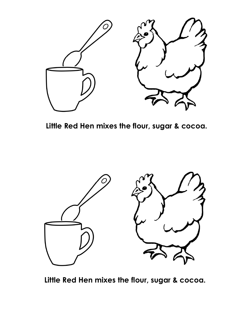

**Little Red Hen mixes the flour, sugar & cocoa.** 



**Little Red Hen mixes the flour, sugar & cocoa.**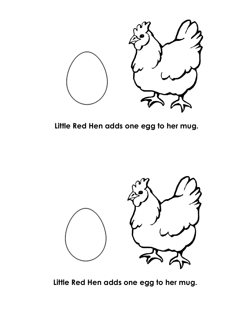

**Little Red Hen adds one egg to her mug.**



**Little Red Hen adds one egg to her mug.**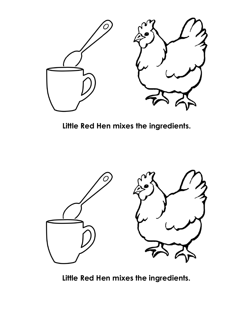

**Little Red Hen mixes the ingredients.**



**Little Red Hen mixes the ingredients.**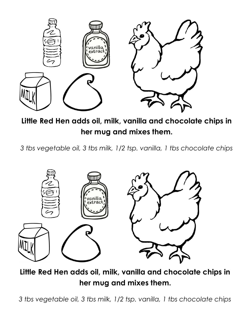

**Little Red Hen adds oil, milk, vanilla and chocolate chips in her mug and mixes them.**

*3 tbs vegetable oil, 3 tbs milk, 1/2 tsp. vanilla, 1 tbs chocolate chips*



**Little Red Hen adds oil, milk, vanilla and chocolate chips in her mug and mixes them.**

*3 tbs vegetable oil, 3 tbs milk, 1/2 tsp. vanilla, 1 tbs chocolate chips*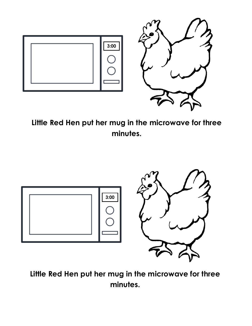

**Little Red Hen put her mug in the microwave for three minutes.**



**Little Red Hen put her mug in the microwave for three minutes.**